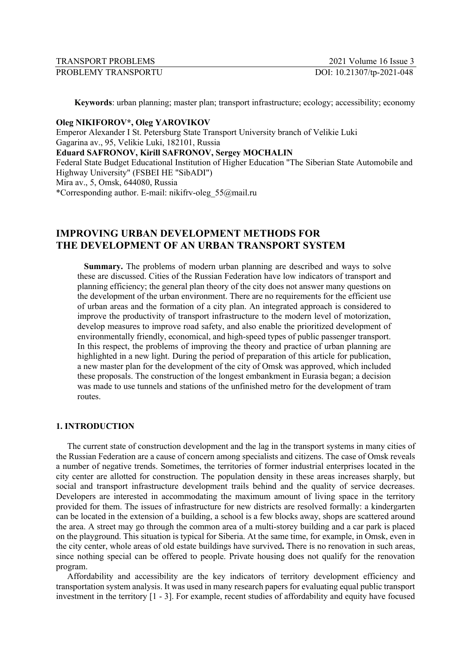| <b>TRANSPORT PROBLEMS</b> | $2021$ Volume 16 Issue 3  |
|---------------------------|---------------------------|
| PROBLEMY TRANSPORTU       | DOI: 10.21307/tp-2021-048 |

**Keywords**: urban planning; master plan; transport infrastructure; ecology; accessibility; economy

### **Oleg NIKIFOROV\*, Oleg YAROVIKOV**

Emperor Alexander I St. Petersburg State Transport University branch of Velikie Luki Gagarina av., 95, Velikie Luki, 182101, Russia **Eduard SAFRONOV, Kirill SAFRONOV, Sergey MOCHALIN** Federal State Budget Educational Institution of Higher Education "The Siberian State Automobile and Highway University" (FSBEI HE "SibADI") Mira av., 5, Omsk, 644080, Russia \*Corresponding author. E-mail: nikifrv-oleg\_55@mail.ru

# **IMPROVING URBAN DEVELOPMENT METHODS FOR THE DEVELOPMENT OF AN URBAN TRANSPORT SYSTEM**

**Summary.** The problems of modern urban planning are described and ways to solve these are discussed. Cities of the Russian Federation have low indicators of transport and planning efficiency; the general plan theory of the city does not answer many questions on the development of the urban environment. There are no requirements for the efficient use of urban areas and the formation of a city plan. An integrated approach is considered to improve the productivity of transport infrastructure to the modern level of motorization, develop measures to improve road safety, and also enable the prioritized development of environmentally friendly, economical, and high-speed types of public passenger transport. In this respect, the problems of improving the theory and practice of urban planning are highlighted in a new light. During the period of preparation of this article for publication, a new master plan for the development of the city of Omsk was approved, which included these proposals. The construction of the longest embankment in Eurasia began; a decision was made to use tunnels and stations of the unfinished metro for the development of tram routes.

#### **1. INTRODUCTION**

The current state of construction development and the lag in the transport systems in many cities of the Russian Federation are a cause of concern among specialists and citizens. The case of Omsk reveals a number of negative trends. Sometimes, the territories of former industrial enterprises located in the city center are allotted for construction. The population density in these areas increases sharply, but social and transport infrastructure development trails behind and the quality of service decreases. Developers are interested in accommodating the maximum amount of living space in the territory provided for them. The issues of infrastructure for new districts are resolved formally: a kindergarten can be located in the extension of a building, a school is a few blocks away, shops are scattered around the area. A street may go through the common area of a multi-storey building and a car park is placed on the playground. This situation is typical for Siberia. At the same time, for example, in Omsk, even in the city center, whole areas of old estate buildings have survived**.** There is no renovation in such areas, since nothing special can be offered to people. Private housing does not qualify for the renovation program.

Affordability and accessibility are the key indicators of territory development efficiency and transportation system analysis. It was used in many research papers for evaluating equal public transport investment in the territory [1 - 3]. For example, recent studies of affordability and equity have focused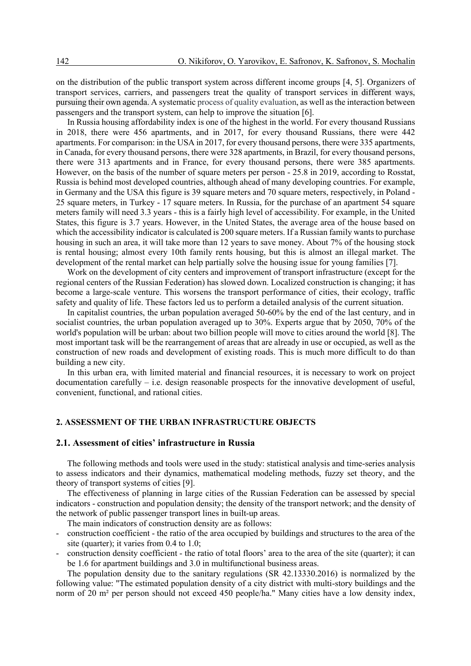on the distribution of the public transport system across different income groups [4, 5]. Organizers of transport services, carriers, and passengers treat the quality of transport services in different ways, pursuing their own agenda. A systematic process of quality evaluation, as well as the interaction between passengers and the transport system, can help to improve the situation [6].

In Russia housing affordability index is one of the highest in the world. For every thousand Russians in 2018, there were 456 apartments, and in 2017, for every thousand Russians, there were 442 apartments. For comparison: in the USA in 2017, for every thousand persons, there were 335 apartments, in Canada, for every thousand persons, there were 328 apartments, in Brazil, for every thousand persons, there were 313 apartments and in France, for every thousand persons, there were 385 apartments. However, on the basis of the number of square meters per person - 25.8 in 2019, according to Rosstat, Russia is behind most developed countries, although ahead of many developing countries. For example, in Germany and the USA this figure is 39 square meters and 70 square meters, respectively, in Poland - 25 square meters, in Turkey - 17 square meters. In Russia, for the purchase of an apartment 54 square meters family will need 3.3 years - this is a fairly high level of accessibility. For example, in the United States, this figure is 3.7 years. However, in the United States, the average area of the house based on which the accessibility indicator is calculated is 200 square meters. If a Russian family wants to purchase housing in such an area, it will take more than 12 years to save money. About 7% of the housing stock is rental housing; almost every 10th family rents housing, but this is almost an illegal market. The development of the rental market can help partially solve the housing issue for young families [7].

Work on the development of city centers and improvement of transport infrastructure (except for the regional centers of the Russian Federation) has slowed down. Localized construction is changing; it has become a large-scale venture. This worsens the transport performance of cities, their ecology, traffic safety and quality of life. These factors led us to perform a detailed analysis of the current situation.

In capitalist countries, the urban population averaged 50-60% by the end of the last century, and in socialist countries, the urban population averaged up to 30%. Experts argue that by 2050, 70% of the world's population will be urban: about two billion people will move to cities around the world [8]. The most important task will be the rearrangement of areas that are already in use or occupied, as well as the construction of new roads and development of existing roads. This is much more difficult to do than building a new city.

In this urban era, with limited material and financial resources, it is necessary to work on project documentation carefully – i.e. design reasonable prospects for the innovative development of useful, convenient, functional, and rational cities.

# **2. ASSESSMENT OF THE URBAN INFRASTRUCTURE OBJECTS**

### **2.1. Assessment of cities' infrastructure in Russia**

The following methods and tools were used in the study: statistical analysis and time-series analysis to assess indicators and their dynamics, mathematical modeling methods, fuzzy set theory, and the theory of transport systems of cities [9].

The effectiveness of planning in large cities of the Russian Federation can be assessed by special indicators - construction and population density; the density of the transport network; and the density of the network of public passenger transport lines in built-up areas.

The main indicators of construction density are as follows:

- construction coefficient the ratio of the area occupied by buildings and structures to the area of the site (quarter); it varies from 0.4 to 1.0;
- construction density coefficient the ratio of total floors' area to the area of the site (quarter); it can be 1.6 for apartment buildings and 3.0 in multifunctional business areas.

The population density due to the sanitary regulations (SR 42.13330.2016) is normalized by the following value: "The estimated population density of a city district with multi-story buildings and the norm of 20 m² per person should not exceed 450 people/ha." Many cities have a low density index,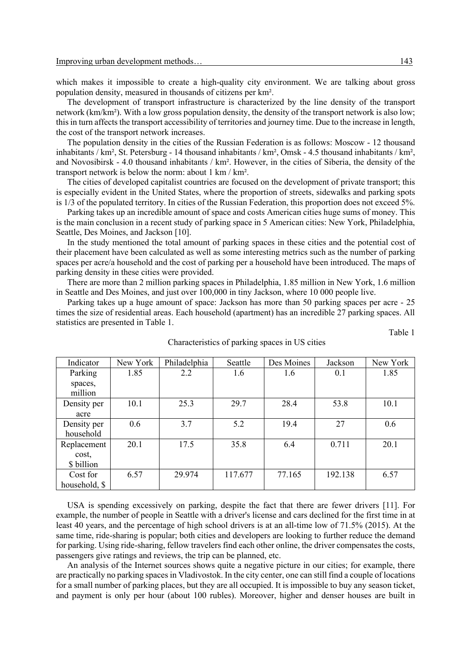which makes it impossible to create a high-quality city environment. We are talking about gross population density, measured in thousands of citizens per km².

The development of transport infrastructure is characterized by the line density of the transport network (km/km²). With a low gross population density, the density of the transport network is also low; this in turn affects the transport accessibility of territories and journey time. Due to the increase in length, the cost of the transport network increases.

The population density in the cities of the Russian Federation is as follows: Moscow - 12 thousand inhabitants / km², St. Petersburg - 14 thousand inhabitants / km², Omsk - 4.5 thousand inhabitants / km², and Novosibirsk - 4.0 thousand inhabitants / km². However, in the cities of Siberia, the density of the transport network is below the norm: about 1 km / km².

The cities of developed capitalist countries are focused on the development of private transport; this is especially evident in the United States, where the proportion of streets, sidewalks and parking spots is 1/3 of the populated territory. In cities of the Russian Federation, this proportion does not exceed 5%.

Parking takes up an incredible amount of space and costs American cities huge sums of money. This is the main conclusion in a recent study of parking space in 5 American cities: New York, Philadelphia, Seattle, Des Moines, and Jackson [10].

In the study mentioned the total amount of parking spaces in these cities and the potential cost of their placement have been calculated as well as some interesting metrics such as the number of parking spaces per acre/a household and the cost of parking per a household have been introduced. The maps of parking density in these cities were provided.

There are more than 2 million parking spaces in Philadelphia, 1.85 million in New York, 1.6 million in Seattle and Des Moines, and just over 100,000 in tiny Jackson, where 10 000 people live.

Parking takes up a huge amount of space: Jackson has more than 50 parking spaces per acre - 25 times the size of residential areas. Each household (apartment) has an incredible 27 parking spaces. All statistics are presented in Table 1.

Table 1

| Indicator          | New York | Philadelphia | Seattle | Des Moines | Jackson | New York |
|--------------------|----------|--------------|---------|------------|---------|----------|
| Parking            | 1.85     | 2.2          | 1.6     | 1.6        | 0.1     | 1.85     |
| spaces,<br>million |          |              |         |            |         |          |
| Density per        | 10.1     | 25.3         | 29.7    | 28.4       | 53.8    | 10.1     |
| acre               |          |              |         |            |         |          |
| Density per        | 0.6      | 3.7          | 5.2     | 19.4       | 27      | 0.6      |
| household          |          |              |         |            |         |          |
| Replacement        | 20.1     | 17.5         | 35.8    | 6.4        | 0.711   | 20.1     |
| cost,              |          |              |         |            |         |          |
| \$ billion         |          |              |         |            |         |          |
| Cost for           | 6.57     | 29.974       | 117.677 | 77.165     | 192.138 | 6.57     |
| household, \$      |          |              |         |            |         |          |

#### Characteristics of parking spaces in US cities

USA is spending excessively on parking, despite the fact that there are fewer drivers [11]. For example, the number of people in Seattle with a driver's license and cars declined for the first time in at least 40 years, and the percentage of high school drivers is at an all-time low of 71.5% (2015). At the same time, ride-sharing is popular; both cities and developers are looking to further reduce the demand for parking. Using ride-sharing, fellow travelers find each other online, the driver compensates the costs, passengers give ratings and reviews, the trip can be planned, etc.

An analysis of the Internet sources shows quite a negative picture in our cities; for example, there are practically no parking spaces in Vladivostok. In the city center, one can still find a couple of locations for a small number of parking places, but they are all occupied. It is impossible to buy any season ticket, and payment is only per hour (about 100 rubles). Moreover, higher and denser houses are built in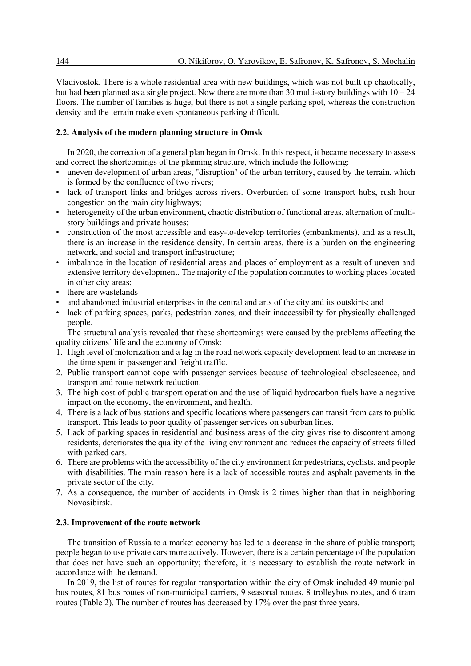Vladivostok. There is a whole residential area with new buildings, which was not built up chaotically, but had been planned as a single project. Now there are more than 30 multi-story buildings with  $10 - 24$ floors. The number of families is huge, but there is not a single parking spot, whereas the construction density and the terrain make even spontaneous parking difficult.

# **2.2. Analysis of the modern planning structure in Omsk**

In 2020, the correction of a general plan began in Omsk. In this respect, it became necessary to assess and correct the shortcomings of the planning structure, which include the following:

- uneven development of urban areas, "disruption" of the urban territory, caused by the terrain, which is formed by the confluence of two rivers;
- lack of transport links and bridges across rivers. Overburden of some transport hubs, rush hour congestion on the main city highways;
- heterogeneity of the urban environment, chaotic distribution of functional areas, alternation of multistory buildings and private houses;
- construction of the most accessible and easy-to-develop territories (embankments), and as a result, there is an increase in the residence density. In certain areas, there is a burden on the engineering network, and social and transport infrastructure;
- imbalance in the location of residential areas and places of employment as a result of uneven and extensive territory development. The majority of the population commutes to working places located in other city areas;
- there are wastelands
- and abandoned industrial enterprises in the central and arts of the city and its outskirts; and
- lack of parking spaces, parks, pedestrian zones, and their inaccessibility for physically challenged people.

The structural analysis revealed that these shortcomings were caused by the problems affecting the quality citizens' life and the economy of Omsk:

- 1. High level of motorization and a lag in the road network capacity development lead to an increase in the time spent in passenger and freight traffic.
- 2. Public transport cannot cope with passenger services because of technological obsolescence, and transport and route network reduction.
- 3. The high cost of public transport operation and the use of liquid hydrocarbon fuels have a negative impact on the economy, the environment, and health.
- 4. There is a lack of bus stations and specific locations where passengers can transit from cars to public transport. This leads to poor quality of passenger services on suburban lines.
- 5. Lack of parking spaces in residential and business areas of the city gives rise to discontent among residents, deteriorates the quality of the living environment and reduces the capacity of streets filled with parked cars.
- 6. There are problems with the accessibility of the city environment for pedestrians, cyclists, and people with disabilities. The main reason here is a lack of accessible routes and asphalt pavements in the private sector of the city.
- 7. As a consequence, the number of accidents in Omsk is 2 times higher than that in neighboring Novosibirsk.

# **2.3. Improvement of the route network**

The transition of Russia to a market economy has led to a decrease in the share of public transport; people began to use private cars more actively. However, there is a certain percentage of the population that does not have such an opportunity; therefore, it is necessary to establish the route network in accordance with the demand.

In 2019, the list of routes for regular transportation within the city of Omsk included 49 municipal bus routes, 81 bus routes of non-municipal carriers, 9 seasonal routes, 8 trolleybus routes, and 6 tram routes (Table 2). The number of routes has decreased by 17% over the past three years.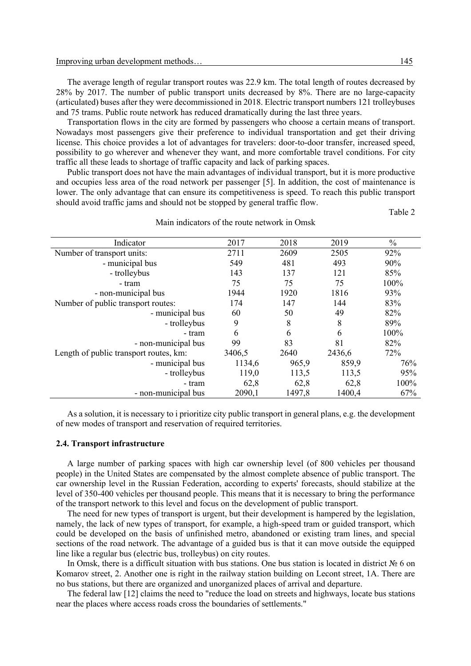The average length of regular transport routes was 22.9 km. The total length of routes decreased by 28% by 2017. The number of public transport units decreased by 8%. There are no large-capacity (articulated) buses after they were decommissioned in 2018. Electric transport numbers 121 trolleybuses and 75 trams. Public route network has reduced dramatically during the last three years.

Transportation flows in the city are formed by passengers who choose a certain means of transport. Nowadays most passengers give their preference to individual transportation and get their driving license. This choice provides a lot of advantages for travelers: door-to-door transfer, increased speed, possibility to go wherever and whenever they want, and more comfortable travel conditions. For city traffic all these leads to shortage of traffic capacity and lack of parking spaces.

Public transport does not have the main advantages of individual transport, but it is more productive and occupies less area of the road network per passenger [5]. In addition, the cost of maintenance is lower. The only advantage that can ensure its competitiveness is speed. To reach this public transport should avoid traffic jams and should not be stopped by general traffic flow.

Table 2

| Main indicators of the route network in Omsk |  |  |  |
|----------------------------------------------|--|--|--|
|----------------------------------------------|--|--|--|

| Indicator                              | 2017   | 2018   | 2019   | $\frac{0}{0}$ |
|----------------------------------------|--------|--------|--------|---------------|
| Number of transport units:             | 2711   | 2609   | 2505   | 92%           |
| - municipal bus                        | 549    | 481    | 493    | 90%           |
| - trolleybus                           | 143    | 137    | 121    | 85%           |
| - tram                                 | 75     | 75     | 75     | 100%          |
| - non-municipal bus                    | 1944   | 1920   | 1816   | 93%           |
| Number of public transport routes:     | 174    | 147    | 144    | 83%           |
| - municipal bus                        | 60     | 50     | 49     | 82%           |
| - trolleybus                           | 9      | 8      | 8      | 89%           |
| - tram                                 | 6      | 6      | 6      | 100%          |
| - non-municipal bus                    | 99     | 83     | 81     | 82%           |
| Length of public transport routes, km: | 3406,5 | 2640   | 2436,6 | 72%           |
| - municipal bus                        | 1134,6 | 965,9  | 859,9  | 76%           |
| - trolleybus                           | 119,0  | 113,5  | 113,5  | 95%           |
| - tram                                 | 62,8   | 62,8   | 62,8   | 100%          |
| - non-municipal bus                    | 2090,1 | 1497,8 | 1400,4 | 67%           |

As a solution, it is necessary to i prioritize city public transport in general plans, e.g. the development of new modes of transport and reservation of required territories.

#### **2.4. Transport infrastructure**

A large number of parking spaces with high car ownership level (of 800 vehicles per thousand people) in the United States are compensated by the almost complete absence of public transport. The car ownership level in the Russian Federation, according to experts' forecasts, should stabilize at the level of 350-400 vehicles per thousand people. This means that it is necessary to bring the performance of the transport network to this level and focus on the development of public transport.

The need for new types of transport is urgent, but their development is hampered by the legislation, namely, the lack of new types of transport, for example, a high-speed tram or guided transport, which could be developed on the basis of unfinished metro, abandoned or existing tram lines, and special sections of the road network. The advantage of a guided bus is that it can move outside the equipped line like a regular bus (electric bus, trolleybus) on city routes.

In Omsk, there is a difficult situation with bus stations. One bus station is located in district № 6 on Komarov street, 2. Another one is right in the railway station building on Lecont street, 1A. There are no bus stations, but there are organized and unorganized places of arrival and departure.

The federal law [12] claims the need to "reduce the load on streets and highways, locate bus stations near the places where access roads cross the boundaries of settlements."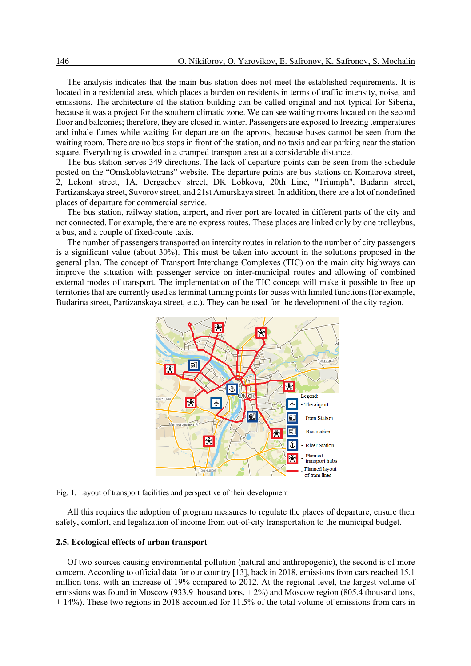The analysis indicates that the main bus station does not meet the established requirements. It is located in a residential area, which places a burden on residents in terms of traffic intensity, noise, and emissions. The architecture of the station building can be called original and not typical for Siberia, because it was a project for the southern climatic zone. We can see waiting rooms located on the second floor and balconies; therefore, they are closed in winter. Passengers are exposed to freezing temperatures and inhale fumes while waiting for departure on the aprons, because buses cannot be seen from the waiting room. There are no bus stops in front of the station, and no taxis and car parking near the station square. Everything is crowded in a cramped transport area at a considerable distance.

The bus station serves 349 directions. The lack of departure points can be seen from the schedule posted on the "Omskoblavtotrans" website. The departure points are bus stations on Komarova street, 2, Lekont street, 1A, Dergachev street, DK Lobkova, 20th Line, "Triumph", Budarin street, Partizanskaya street, Suvorov street, and 21st Amurskaya street. In addition, there are a lot of nondefined places of departure for commercial service.

The bus station, railway station, airport, and river port are located in different parts of the city and not connected. For example, there are no express routes. These places are linked only by one trolleybus, a bus, and a couple of fixed-route taxis.

The number of passengers transported on intercity routes in relation to the number of city passengers is a significant value (about 30%). This must be taken into account in the solutions proposed in the general plan. The concept of Transport Interchange Complexes (TIC) on the main city highways can improve the situation with passenger service on inter-municipal routes and allowing of combined external modes of transport. The implementation of the TIC concept will make it possible to free up territories that are currently used as terminal turning points for buses with limited functions (for example, Budarina street, Partizanskaya street, etc.). They can be used for the development of the city region.



Fig. 1. Layout of transport facilities and perspective of their development

All this requires the adoption of program measures to regulate the places of departure, ensure their safety, comfort, and legalization of income from out-of-city transportation to the municipal budget.

### **2.5. Ecological effects of urban transport**

Of two sources causing environmental pollution (natural and anthropogenic), the second is of more concern. According to official data for our country [13], back in 2018, emissions from cars reached 15.1 million tons, with an increase of 19% compared to 2012. At the regional level, the largest volume of emissions was found in Moscow (933.9 thousand tons,  $+ 2\%$ ) and Moscow region (805.4 thousand tons, + 14%). These two regions in 2018 accounted for 11.5% of the total volume of emissions from cars in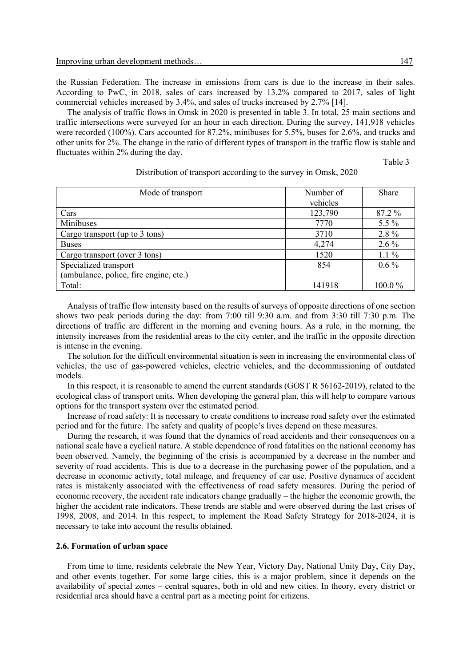the Russian Federation. The increase in emissions from cars is due to the increase in their sales. According to PwC, in 2018, sales of cars increased by 13.2% compared to 2017, sales of light commercial vehicles increased by 3.4%, and sales of trucks increased by 2.7% [14].

The analysis of traffic flows in Omsk in 2020 is presented in table 3. In total, 25 main sections and traffic intersections were surveyed for an hour in each direction. During the survey, 141,918 vehicles were recorded (100%). Cars accounted for 87.2%, minibuses for 5.5%, buses for 2.6%, and trucks and other units for 2%. The change in the ratio of different types of transport in the traffic flow is stable and fluctuates within 2% during the day.

Table 3

| Mode of transport                      | Number of | Share   |
|----------------------------------------|-----------|---------|
|                                        | vehicles  |         |
| Cars                                   | 123,790   | 87.2 %  |
| Minibuses                              | 7770      | 5.5 %   |
| Cargo transport (up to 3 tons)         | 3710      | 2.8%    |
| <b>Buses</b>                           | 4,274     | $2.6\%$ |
| Cargo transport (over 3 tons)          | 1520      | $1.1\%$ |
| Specialized transport                  | 854       | $0.6\%$ |
| (ambulance, police, fire engine, etc.) |           |         |
| Total:                                 | 141918    | 100.0%  |

Distribution of transport according to the survey in Omsk, 2020

Analysis of traffic flow intensity based on the results of surveys of opposite directions of one section shows two peak periods during the day: from 7:00 till 9:30 a.m. and from 3:30 till 7:30 p.m. The directions of traffic are different in the morning and evening hours. As a rule, in the morning, the intensity increases from the residential areas to the city center, and the traffic in the opposite direction is intense in the evening.

The solution for the difficult environmental situation is seen in increasing the environmental class of vehicles, the use of gas-powered vehicles, electric vehicles, and the decommissioning of outdated models.

In this respect, it is reasonable to amend the current standards (GOST R 56162-2019), related to the ecological class of transport units. When developing the general plan, this will help to compare various options for the transport system over the estimated period.

Increase of road safety: It is necessary to create conditions to increase road safety over the estimated period and for the future. The safety and quality of people's lives depend on these measures.

During the research, it was found that the dynamics of road accidents and their consequences on a national scale have a cyclical nature. A stable dependence of road fatalities on the national economy has been observed. Namely, the beginning of the crisis is accompanied by a decrease in the number and severity of road accidents. This is due to a decrease in the purchasing power of the population, and a decrease in economic activity, total mileage, and frequency of car use. Positive dynamics of accident rates is mistakenly associated with the effectiveness of road safety measures. During the period of economic recovery, the accident rate indicators change gradually – the higher the economic growth, the higher the accident rate indicators. These trends are stable and were observed during the last crises of 1998, 2008, and 2014. In this respect, to implement the Road Safety Strategy for 2018-2024, it is necessary to take into account the results obtained.

#### **2.6. Formation of urban space**

From time to time, residents celebrate the New Year, Victory Day, National Unity Day, City Day, and other events together. For some large cities, this is a major problem, since it depends on the availability of special zones – central squares, both in old and new cities. In theory, every district or residential area should have a central part as a meeting point for citizens.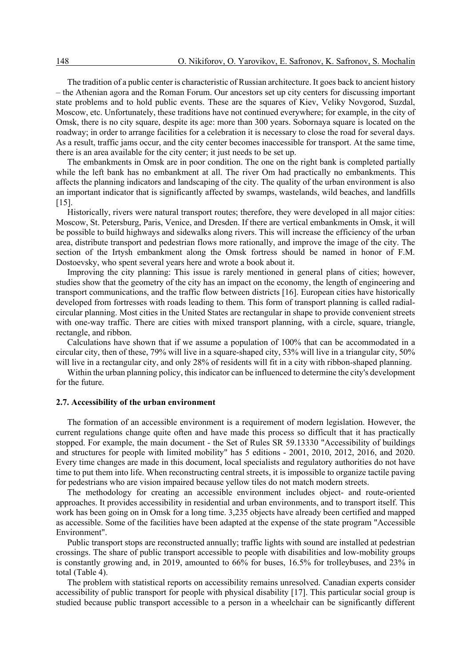The tradition of a public center is characteristic of Russian architecture. It goes back to ancient history – the Athenian agora and the Roman Forum. Our ancestors set up city centers for discussing important state problems and to hold public events. These are the squares of Kiev, Veliky Novgorod, Suzdal, Moscow, etc. Unfortunately, these traditions have not continued everywhere; for example, in the city of Omsk, there is no city square, despite its age: more than 300 years. Sobornaya square is located on the roadway; in order to arrange facilities for a celebration it is necessary to close the road for several days. As a result, traffic jams occur, and the city center becomes inaccessible for transport. At the same time, there is an area available for the city center; it just needs to be set up.

The embankments in Omsk are in poor condition. The one on the right bank is completed partially while the left bank has no embankment at all. The river Om had practically no embankments. This affects the planning indicators and landscaping of the city. The quality of the urban environment is also an important indicator that is significantly affected by swamps, wastelands, wild beaches, and landfills [15].

Historically, rivers were natural transport routes; therefore, they were developed in all major cities: Moscow, St. Petersburg, Paris, Venice, and Dresden. If there are vertical embankments in Omsk, it will be possible to build highways and sidewalks along rivers. This will increase the efficiency of the urban area, distribute transport and pedestrian flows more rationally, and improve the image of the city. The section of the Irtysh embankment along the Omsk fortress should be named in honor of F.M. Dostoevsky, who spent several years here and wrote a book about it.

Improving the city planning: This issue is rarely mentioned in general plans of cities; however, studies show that the geometry of the city has an impact on the economy, the length of engineering and transport communications, and the traffic flow between districts [16]. European cities have historically developed from fortresses with roads leading to them. This form of transport planning is called radialcircular planning. Most cities in the United States are rectangular in shape to provide convenient streets with one-way traffic. There are cities with mixed transport planning, with a circle, square, triangle, rectangle, and ribbon.

Calculations have shown that if we assume a population of 100% that can be accommodated in a circular city, then of these, 79% will live in a square-shaped city, 53% will live in a triangular city, 50% will live in a rectangular city, and only 28% of residents will fit in a city with ribbon-shaped planning.

Within the urban planning policy, this indicator can be influenced to determine the city's development for the future.

### **2.7. Accessibility of the urban environment**

The formation of an accessible environment is a requirement of modern legislation. However, the current regulations change quite often and have made this process so difficult that it has practically stopped. For example, the main document - the Set of Rules SR 59.13330 "Accessibility of buildings and structures for people with limited mobility" has 5 editions - 2001, 2010, 2012, 2016, and 2020. Every time changes are made in this document, local specialists and regulatory authorities do not have time to put them into life. When reconstructing central streets, it is impossible to organize tactile paving for pedestrians who are vision impaired because yellow tiles do not match modern streets.

The methodology for creating an accessible environment includes object- and route-oriented approaches. It provides accessibility in residential and urban environments, and to transport itself. This work has been going on in Omsk for a long time. 3,235 objects have already been certified and mapped as accessible. Some of the facilities have been adapted at the expense of the state program "Accessible Environment".

Public transport stops are reconstructed annually; traffic lights with sound are installed at pedestrian crossings. The share of public transport accessible to people with disabilities and low-mobility groups is constantly growing and, in 2019, amounted to 66% for buses, 16.5% for trolleybuses, and 23% in total (Table 4).

The problem with statistical reports on accessibility remains unresolved. Canadian experts consider accessibility of public transport for people with physical disability [17]. This particular social group is studied because public transport accessible to a person in a wheelchair can be significantly different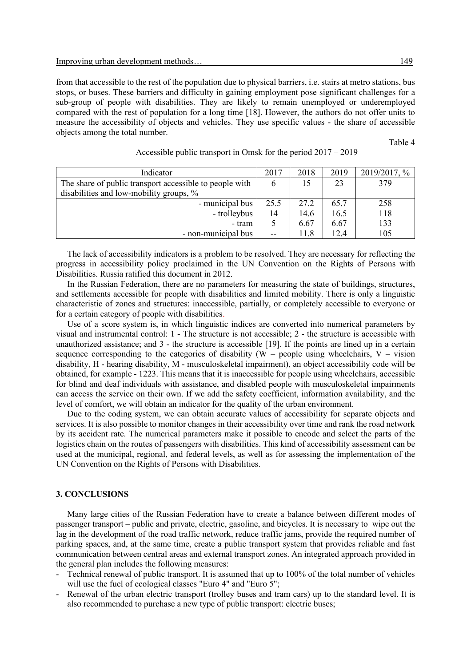from that accessible to the rest of the population due to physical barriers, i.e. stairs at metro stations, bus stops, or buses. These barriers and difficulty in gaining employment pose significant challenges for a sub-group of people with disabilities. They are likely to remain unemployed or underemployed compared with the rest of population for a long time [18]. However, the authors do not offer units to measure the accessibility of objects and vehicles. They use specific values - the share of accessible objects among the total number.

Table 4

| Indicator                                               | 2017 | 2018 | 2019 | 2019/2017, % |
|---------------------------------------------------------|------|------|------|--------------|
| The share of public transport accessible to people with | O    | 15   | 23   | 379          |
| disabilities and low-mobility groups, %                 |      |      |      |              |
| - municipal bus                                         | 25.5 | 27.2 | 65.7 | 258          |
| - trolleybus                                            | 14   | 14.6 | 16.5 | 118          |
| - tram                                                  |      | 6.67 | 6.67 | 133          |
| - non-municipal bus                                     | --   | 11.8 | 12.4 | 105          |

### Accessible public transport in Omsk for the period 2017 – 2019

The lack of accessibility indicators is a problem to be resolved. They are necessary for reflecting the progress in accessibility policy proclaimed in the UN Convention on the Rights of Persons with Disabilities. Russia ratified this document in 2012.

In the Russian Federation, there are no parameters for measuring the state of buildings, structures, and settlements accessible for people with disabilities and limited mobility. There is only a linguistic characteristic of zones and structures: inaccessible, partially, or completely accessible to everyone or for a certain category of people with disabilities.

Use of a score system is, in which linguistic indices are converted into numerical parameters by visual and instrumental control: 1 - The structure is not accessible; 2 - the structure is accessible with unauthorized assistance; and 3 - the structure is accessible [19]. If the points are lined up in a certain sequence corresponding to the categories of disability  $(W -$  people using wheelchairs,  $V -$  vision disability, H - hearing disability, M - musculoskeletal impairment), an object accessibility code will be obtained, for example - 1223. This means that it is inaccessible for people using wheelchairs, accessible for blind and deaf individuals with assistance, and disabled people with musculoskeletal impairments can access the service on their own. If we add the safety coefficient, information availability, and the level of comfort, we will obtain an indicator for the quality of the urban environment.

Due to the coding system, we can obtain accurate values of accessibility for separate objects and services. It is also possible to monitor changes in their accessibility over time and rank the road network by its accident rate. The numerical parameters make it possible to encode and select the parts of the logistics chain on the routes of passengers with disabilities. This kind of accessibility assessment can be used at the municipal, regional, and federal levels, as well as for assessing the implementation of the UN Convention on the Rights of Persons with Disabilities.

### **3. CONCLUSIONS**

Many large cities of the Russian Federation have to create a balance between different modes of passenger transport – public and private, electric, gasoline, and bicycles. It is necessary to wipe out the lag in the development of the road traffic network, reduce traffic jams, provide the required number of parking spaces, and, at the same time, create a public transport system that provides reliable and fast communication between central areas and external transport zones. An integrated approach provided in the general plan includes the following measures:

- Technical renewal of public transport. It is assumed that up to 100% of the total number of vehicles will use the fuel of ecological classes "Euro 4" and "Euro 5";
- Renewal of the urban electric transport (trolley buses and tram cars) up to the standard level. It is also recommended to purchase a new type of public transport: electric buses;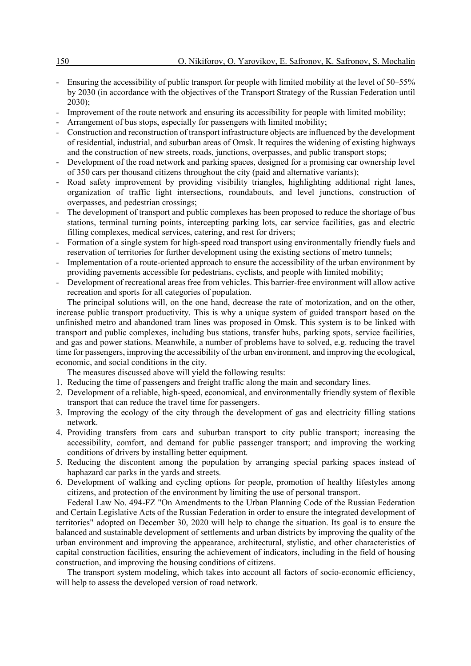- Ensuring the accessibility of public transport for people with limited mobility at the level of 50–55% by 2030 (in accordance with the objectives of the Transport Strategy of the Russian Federation until 2030);
- Improvement of the route network and ensuring its accessibility for people with limited mobility;
- Arrangement of bus stops, especially for passengers with limited mobility;
- Construction and reconstruction of transport infrastructure objects are influenced by the development of residential, industrial, and suburban areas of Omsk. It requires the widening of existing highways and the construction of new streets, roads, junctions, overpasses, and public transport stops;
- Development of the road network and parking spaces, designed for a promising car ownership level of 350 cars per thousand citizens throughout the city (paid and alternative variants);
- Road safety improvement by providing visibility triangles, highlighting additional right lanes, organization of traffic light intersections, roundabouts, and level junctions, construction of overpasses, and pedestrian crossings;
- The development of transport and public complexes has been proposed to reduce the shortage of bus stations, terminal turning points, intercepting parking lots, car service facilities, gas and electric filling complexes, medical services, catering, and rest for drivers;
- Formation of a single system for high-speed road transport using environmentally friendly fuels and reservation of territories for further development using the existing sections of metro tunnels;
- Implementation of a route-oriented approach to ensure the accessibility of the urban environment by providing pavements accessible for pedestrians, cyclists, and people with limited mobility;
- Development of recreational areas free from vehicles. This barrier-free environment will allow active recreation and sports for all categories of population.

The principal solutions will, on the one hand, decrease the rate of motorization, and on the other, increase public transport productivity. This is why a unique system of guided transport based on the unfinished metro and abandoned tram lines was proposed in Omsk. This system is to be linked with transport and public complexes, including bus stations, transfer hubs, parking spots, service facilities, and gas and power stations. Meanwhile, a number of problems have to solved, e.g. reducing the travel time for passengers, improving the accessibility of the urban environment, and improving the ecological, economic, and social conditions in the city.

The measures discussed above will yield the following results:

- 1. Reducing the time of passengers and freight traffic along the main and secondary lines.
- 2. Development of a reliable, high-speed, economical, and environmentally friendly system of flexible transport that can reduce the travel time for passengers.
- 3. Improving the ecology of the city through the development of gas and electricity filling stations network.
- 4. Providing transfers from cars and suburban transport to city public transport; increasing the accessibility, comfort, and demand for public passenger transport; and improving the working conditions of drivers by installing better equipment.
- 5. Reducing the discontent among the population by arranging special parking spaces instead of haphazard car parks in the yards and streets.
- 6. Development of walking and cycling options for people, promotion of healthy lifestyles among citizens, and protection of the environment by limiting the use of personal transport.

Federal Law No. 494-FZ "On Amendments to the Urban Planning Code of the Russian Federation and Certain Legislative Acts of the Russian Federation in order to ensure the integrated development of territories" adopted on December 30, 2020 will help to change the situation. Its goal is to ensure the balanced and sustainable development of settlements and urban districts by improving the quality of the urban environment and improving the appearance, architectural, stylistic, and other characteristics of capital construction facilities, ensuring the achievement of indicators, including in the field of housing construction, and improving the housing conditions of citizens.

The transport system modeling, which takes into account all factors of socio-economic efficiency, will help to assess the developed version of road network.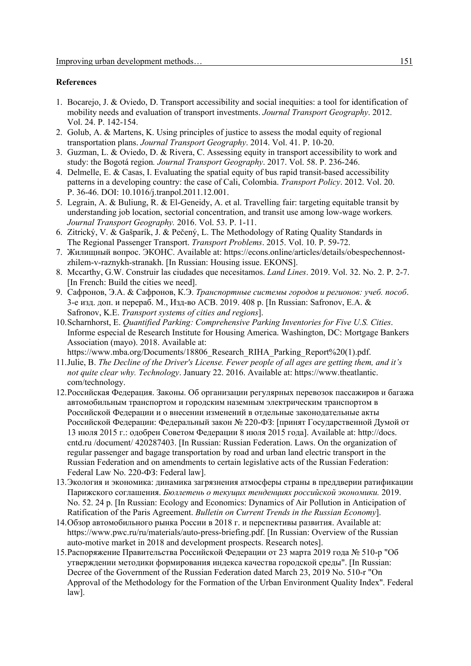# **References**

- 1. Bocarejo, J. & Oviedo, D. Transport accessibility and social inequities: a tool for identification of mobility needs and evaluation of transport investments. *Journal Transport Geography*. 2012. Vol. 24. Р. 142-154.
- 2. Golub, A. & Martens, K. Using principles of justice to assess the modal equity of regional transportation plans. *Journal Transport Geography*. 2014. Vol. 41. Р. 10-20.
- 3. Guzman, L. & Oviedo, D. & Rivera, C. Assessing equity in transport accessibility to work and study: the Bogotá region*. Journal Transport Geography*. 2017. Vol. 58. Р. 236-246.
- 4. Delmelle, E. & Casas, I. Evaluating the spatial equity of bus rapid transit-based accessibility patterns in a developing country: the case of Cali, Colombia. *Transport Policy*. 2012. Vol. 20. Р. 36-46. DOI: 10.1016/j.tranpol.2011.12.001.
- 5. Legrain, A. & Buliung, R. & El-Geneidy, A. et al. Travelling fair: targeting equitable transit by understanding job location, sectorial concentration, and transit use among low-wage workers*. Journal Transport Geography.* 2016. Vol. 53. Р. 1-11.
- 6. Zitrický, V. & Gašparík, J. & Pečený, L. The Methodology of Rating Quality Standards in The Regional Passenger Transport. *Transport Problems*. 2015. Vol. 10. P. 59-72.
- 7. Жилищный вопрос. ЭКОНС. Available at: https://econs.online/articles/details/obespechennostzhilem-v-raznykh-stranakh. [In Russian: Housing issue. EKONS].
- 8. Mccarthy, G.W. Construir las ciudades que necesitamos. *Land Lines*. 2019. Vol. 32. No. 2. P. 2-7. [In French: Build the cities we need].
- 9. Сафронов, Э.А. & Сафронов, К.Э. *Транспортные системы городов и регионов: учеб. пособ*. 3-е изд. доп. и перераб. М., Изд-во АСВ. 2019. 408 p. [In Russian: Safronov, E.A. & Safronov, K.E. *Transport systems of cities and regions*].
- 10.Scharnhorst, E. *Quantified Parking: Comprehensive Parking Inventories for Five U.S. Cities*. Informe especial de Research Institute for Housing America. Washington, DC: Mortgage Bankers Association (mayo). 2018. Available at:
	- https://www.mba.org/Documents/18806\_Research\_RIHA\_Parking\_Report%20(1).pdf.
- 11.Julie, B. *The Decline of the Driver's License. Fewer people of all ages are getting them, and it's not quite clear why. Technology*. January 22. 2016. Available at: https://www.theatlantic. com/technology.
- 12.Российская Федерация. Законы. Об организации регулярных перевозок пассажиров и багажа автомобильным транспортом и городским наземным электрическим транспортом в Российской Федерации и о внесении изменений в отдельные законодательные акты Российской Федерации: Федеральный закон № 220-ФЗ: [принят Государственной Думой от 13 июля 2015 г.: одобрен Советом Федерации 8 июля 2015 года]. Available at: http://docs. cntd.ru /document/ 420287403. [In Russian: Russian Federation. Laws. On the organization of regular passenger and bagage transportation by road and urban land electric transport in the Russian Federation and on amendments to certain legislative acts of the Russian Federation: Federal Law No. 220-ФЗ: Federal law].
- 13.Экология и экономика: динамика загрязнения атмосферы страны в преддверии ратификации Парижского соглашения. *Бюллетень о текущих тенденциях российской экономики.* 2019. No. 52. 24 p. [In Russian: Ecology and Economics: Dynamics of Air Pollution in Anticipation of Ratification of the Paris Agreement. *Bulletin on Current Trends in the Russian Economy*].
- 14.Обзор автомобильного рынка России в 2018 г. и перспективы развития. Available at: https://www.pwc.ru/ru/materials/auto-press-briefing.pdf. [In Russian: Overview of the Russian auto-motive market in 2018 and development prospects. Research notes].
- 15.Распоряжение Правительства Российской Федерации от 23 марта 2019 года № 510-р "Об утверждении методики формирования индекса качества городской среды". [In Russian: Decree of the Government of the Russian Federation dated March 23, 2019 No. 510-r "On Approval of the Methodology for the Formation of the Urban Environment Quality Index". Federal law].